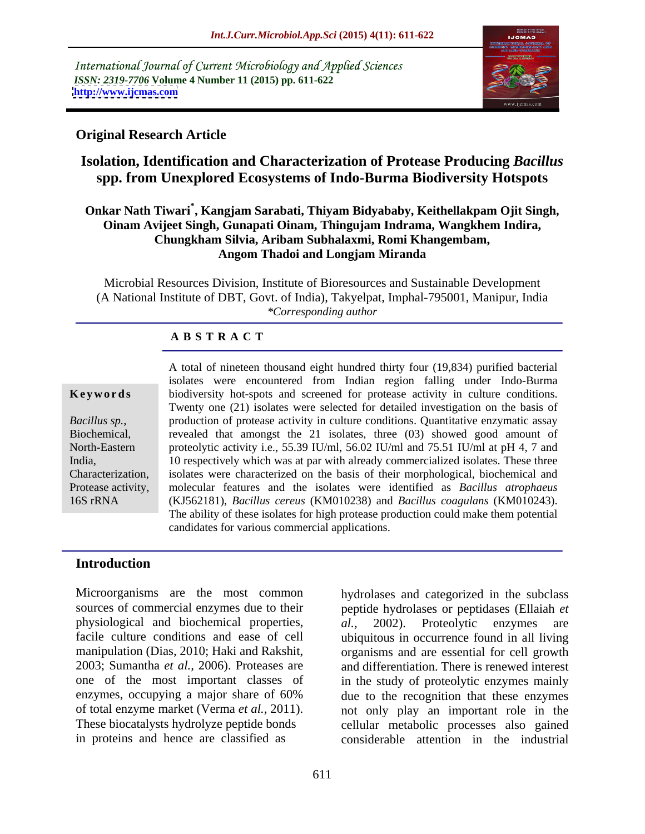International Journal of Current Microbiology and Applied Sciences *ISSN: 2319-7706* **Volume 4 Number 11 (2015) pp. 611-622 <http://www.ijcmas.com>**



### **Original Research Article**

## **Isolation, Identification and Characterization of Protease Producing** *Bacillus* **spp. from Unexplored Ecosystems of Indo-Burma Biodiversity Hotspots**

### **Onkar Nath Tiwari\* , Kangjam Sarabati, Thiyam Bidyababy, Keithellakpam Ojit Singh, Oinam Avijeet Singh, Gunapati Oinam, Thingujam Indrama, Wangkhem Indira, Chungkham Silvia, Aribam Subhalaxmi, Romi Khangembam, Angom Thadoi and Longjam Miranda**

Microbial Resources Division, Institute of Bioresources and Sustainable Development (A National Institute of DBT, Govt. of India), Takyelpat, Imphal-795001, Manipur, India *\*Corresponding author*

#### **A B S T R A C T**

16S rRNA

A total of nineteen thousand eight hundred thirty four (19,834) purified bacterial isolates were encountered from Indian region falling under Indo-Burma **Keywords** biodiversity hot-spots and screened for protease activity in culture conditions. Twenty one (21) isolates were selected for detailed investigation on the basis of production of protease activity in culture conditions. Quantitative enzymatic assay *Bacillus sp.*, production of protease activity in culture conditions. Quantitative enzymatic assay revealed that amongst the 21 isolates, three (03) showed good amount of North-Eastern proteolytic activity i.e., 55.39 IU/ml, 56.02 IU/ml and 75.51 IU/ml at pH 4, 7 and 10 respectively which was at par with already commercialized isolates.These three India, Characterization, isolates were characterized on the basis of their morphological, biochemical and molecular features and the isolates were identified as *Bacillus atrophaeus* Protease activity, (KJ562181), *Bacillus cereus* (KM010238) and *Bacillus coagulans* (KM010243). The ability of these isolates for high protease production could make them potential candidates for various commercial applications.

### **Introduction**

Microorganisms are the most common physiological and biochemical properties, al., 2002). Proteolytic enzymes are

sources of commercial enzymes due to their peptide hydrolases or peptidases (Ellaiah et facile culture conditions and ease of cell ubiquitous in occurrence found in all living manipulation (Dias, 2010; Haki and Rakshit, organisms and are essential for cell growth 2003; Sumantha *et al.,* 2006). Proteases are and differentiation. There is renewed interest one of the most important classes of in the study of proteolytic enzymes mainly enzymes, occupying a major share of 60% due to the recognition that these enzymes of total enzyme market (Verma *et al.,* 2011). not only play an important role in the These biocatalysts hydrolyze peptide bonds cellular metabolic processes also gained in proteins and hence are classified as considerable attention in the industrial hydrolases and categorized in the subclass *al.,* 2002). Proteolytic enzymes are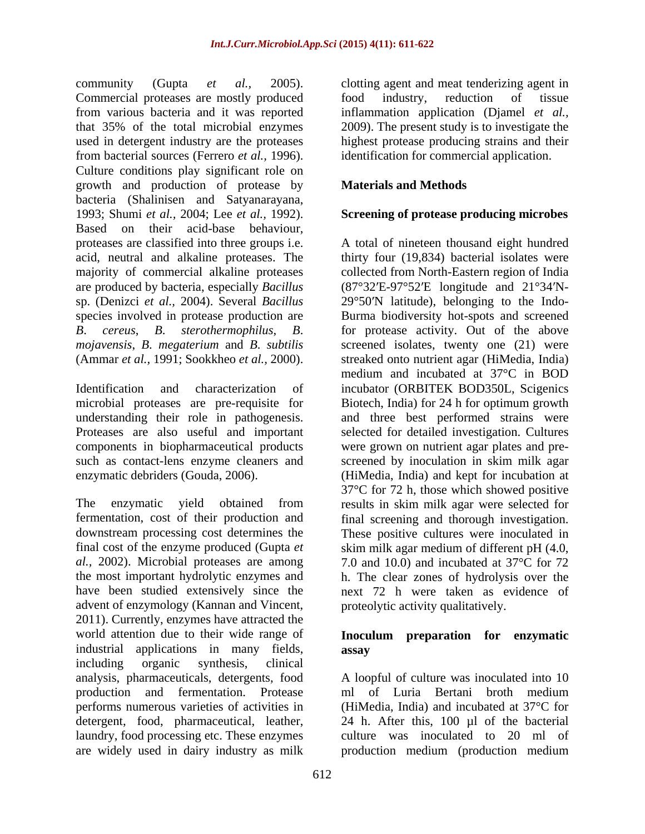community (Gupta *et al.,* 2005). clotting agent and meat tenderizing agent in Commercial proteases are mostly produced food industry, reduction of tissue from various bacteria and it was reported inflammation application (Djamel *et al.,* that 35% of the total microbial enzymes 2009). The present study is to investigate the used in detergent industry are the proteases highest protease producing strains and their from bacterial sources (Ferrero *et al.,* 1996). Culture conditions play significant role on growth and production of protease by bacteria (Shalinisen and Satyanarayana, 1993; Shumi *et al.*, 2004; Lee *et al.*, 1992). **Screening of protease producing microbes** Based on their acid-base behaviour,

The enzymatic yield obtained from results in skim milk agar were selected for fermentation, cost of their production and final screening and thorough investigation. downstream processing cost determines the These positive cultures were inoculated in final cost of the enzyme produced (Gupta *et*  skim milk agar medium of different pH (4.0, *al.,* 2002). Microbial proteases are among the most important hydrolytic enzymes and h. The clear zones of hydrolysis over the have been studied extensively since the next 72 h were taken as evidence of advent of enzymology (Kannan and Vincent, 2011). Currently, enzymes have attracted the world attention due to their wide range of **Inoculum preparation for enzymatic** industrial applications in many fields, including organic synthesis, clinical analysis, pharmaceuticals, detergents, food production and fermentation. Protease detergent, food, pharmaceutical, leather, laundry, food processing etc. These enzymes

food industry, reduction of tissue identification for commercial application.

### **Materials and Methods**

### **Screening of protease producing microbes**

proteases are classified into three groups i.e. <br>A total of nineteen thousand eight hundred acid, neutral and alkaline proteases. The thirty four (19,834) bacterial isolates were majority of commercial alkaline proteases collected from North-Eastern region of India are produced by bacteria, especially *Bacillus*  (87°32 E-97°52 E longitude and 21°34 N sp. (Denizci *et al.*, 2004). Several *Bacillus* 29°50'N latitude), belonging to the Indospecies involved in protease production are Burma biodiversity hot-spotsand screened *B*. *cereus*, *B*. *sterothermophilus*, *B*. for protease activity. Out of the above *mojavensis*, *B*. *megaterium* and *B*. *subtilis* screened isolates, twenty one(21) were (Ammar *et al.,* 1991; Sookkheo *et al.,* 2000). streaked onto nutrient agar (HiMedia, India) Identification and characterization of incubator (ORBITEK BOD350L, Scigenics microbial proteases are pre-requisite for Biotech, India) for 24 h for optimum growth understanding their role in pathogenesis. and three best performed strains were Proteases are also useful and important selected for detailed investigation. Cultures components in biopharmaceutical products were grown on nutrient agar plates and pre such as contact-lens enzyme cleaners and screened by inoculation in skim milk agar enzymatic debriders (Gouda, 2006). (HiMedia, India) and kept for incubation at medium and incubated at 37°C in BOD 37°C for 72 h, those which showed positive 7.0 and 10.0) and incubated at 37<sup>o</sup>C for 72 proteolytic activity qualitatively.

## **assay**

performs numerous varieties of activities in (HiMedia, India) and incubated at 37°C for are widely used in dairy industry as milk production medium (production mediumA loopful of culture was inoculated into 10 ml of Luria Bertani broth medium 24 h. After this, 100 µl of the bacterial culture was inoculated to 20 ml of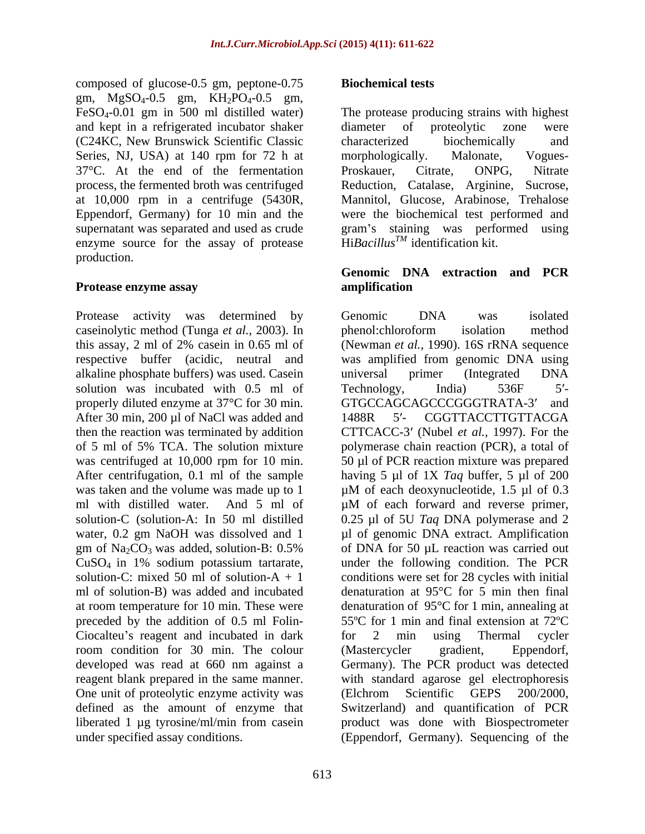composed of glucose-0.5 gm, peptone-0.75 gm,  $MgSO_4-0.5$  gm,  $KH_2PO_4-0.5$  gm, and kept in a refrigerated incubator shaker diameter of proteolytic zone were (C24KC, New Brunswick Scientific Classic Series, NJ, USA) at 140 rpm for 72 h at morphologically. Malonate, Vogues-37<sup>°</sup>C. At the end of the fermentation Proskauer, Citrate, ONPG, Nitrate enzyme source for the assay of protease production.

Protease activity was determined by Genomic DNA was isolated caseinolytic method (Tunga *et al.,* 2003). In alkaline phosphate buffers) was used. Casein solution was incubated with 0.5 ml of Technology, India) 536F 5'properly diluted enzyme at 37°C for 30 min. GTGCCAGCAGCCCGGGTRATA-3' and After 30 min, 200 µl of NaCl was added and 1488R 5'- CGGTTACCTTGTTACGA ml with distilled water. And 5 ml of  $\mu$ M of each forward and reverse primer, CuSO4 in 1% sodium potassium tartarate, Ciocalteu's reagent and incubated in dark for 2 min using Thermal cycler room condition for 30 min. The colour (Mastercycler gradient, Eppendorf, One unit of proteolytic enzyme activity was (Elchrom Scientific GEPS 200/2000, under specified assay conditions. (Eppendorf, Germany). Sequencing of the

### **Biochemical tests**

FeSO4-0.01 gm in 500 ml distilled water) The protease producing strains with highest process, the fermented broth was centrifuged Reduction, Catalase, Arginine, Sucrose, at 10,000 rpm in a centrifuge (5430R, Mannitol, Glucose, Arabinose, Trehalose Eppendorf, Germany) for 10 min and the were the biochemical test performed and supernatant was separated and used as crude stram's staining was performed using diameter of proteolytic zone were characterized biochemically and morphologically. Malonate, Vogues- Proskauer, Citrate, ONPG, Nitrate Hi*BacillusTM* identification kit.

#### **Protease enzyme assay Genomic DNA extraction and PCR amplification**

this assay, 2 ml of 2% casein in 0.65 ml of (Newman *et al.,* 1990). 16S rRNA sequence respective buffer (acidic, neutral and was amplified from genomic DNA using then the reaction was terminated by addition CTTCACC-3 (Nubel *et al.,* 1997). For the of 5 ml of 5% TCA. The solution mixture polymerase chain reaction (PCR), a total of was centrifuged at 10,000 rpm for 10 min. 50 µl of PCR reaction mixture was prepared After centrifugation, 0.1 ml of the sample having 5 µl of 1X *Taq* buffer, 5 µl of 200 was taken and the volume was made up to  $1 \mu M$  of each deoxynucleotide, 1.5  $\mu$ l of 0.3 solution-C (solution-A: In 50 ml distilled 0.25 µl of 5U *Taq* DNA polymerase and 2 water, 0.2 gm NaOH was dissolved and 1  $\mu$ l of genomic DNA extract. Amplification gm of  $\text{Na}_2\text{CO}_3$  was added, solution-B: 0.5% of DNA for 50 µL reaction was carried out solution-C: mixed 50 ml of solution-A + 1 conditions were set for 28 cycles with initial ml of solution-B) was added and incubated denaturation at 95°C for 5 min then final at room temperature for 10 min. These were denaturation of 95°C for 1 min, annealing at preceded by the addition of 0.5 ml Folin- 55ºC for 1 min and final extension at 72ºC developed was read at 660 nm against a Germany). The PCR product was detected reagent blank prepared in the same manner. with standard agarose gel electrophoresis defined as the amount of enzyme that Switzerland) and quantification of PCR liberated 1 µg tyrosine/ml/min from casein product was done with Biospectrometer Genomic DNA was isolated phenol:chloroform isolation method universal primer (Integrated DNA Technology, India) 536F 5'-GTGCCAGCAGCCCGGGTRATA-3' 1488R 5'- CGGTTACCTTGTTACGA µM of each forward and reverse primer, of DNA for 50 µL reaction was carried out under the following condition. The PCR for 2 min using Thermal cycler (Mastercycler gradient, Eppendorf, (Elchrom Scientific GEPS 200/2000,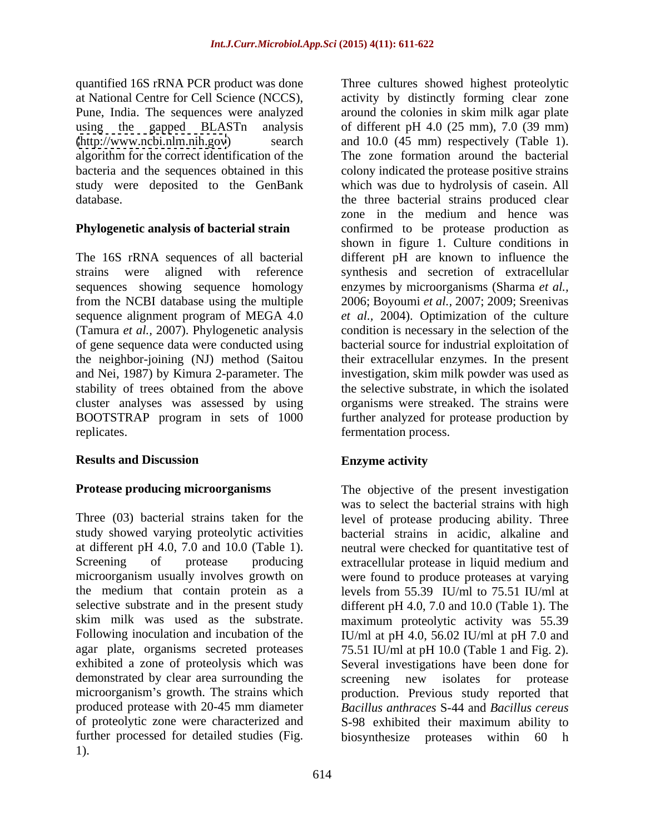quantified 16S rRNA PCR product was done at National Centre for Cell Science (NCCS),

### **Phylogenetic analysis of bacterial strain**

### **Results and Discussion**

Three (03) bacterial strains taken for the level of protease producing ability. Three study showed varying proteolytic activities bacterial strains in acidic, alkaline and at different pH 4.0, 7.0 and 10.0 (Table 1). neutral were checked for quantitative test of Screening of protease producing extracellular protease in liquid medium and microorganism usually involves growth on were found to produce proteases at varying the medium that contain protein as a levels from 55.39 IU/ml to 75.51 IU/ml at selective substrate and in the present study different pH 4.0, 7.0 and 10.0 (Table 1). The skim milk was used as the substrate. maximum proteolytic activity was 55.39 Following inoculation and incubation of the IU/ml at pH 4.0, 56.02 IU/ml at pH 7.0 and agar plate, organisms secreted proteases 75.51 IU/ml at pH 10.0 (Table 1 and Fig. 2). exhibited a zone of proteolysis which was Several investigations have been done for demonstrated by clear area surrounding the screening new isolates for protease microorganism's growth. The strains which production. Previous study reported that produced protease with 20-45 mm diameter of proteolytic zone were characterized and S-98 exhibited their maximum ability to further processed for detailed studies (Fig. 1).

Pune, India. The sequences were analyzed around the colonies in skim milk agar plate using the gapped BLASTn analysis of different pH 4.0 (25 mm), 7.0 (39 mm) [\(http://www.ncbi.nlm.nih.gov](http://www.ncbi.nlm.nih.gov)) search and 10.0 (45 mm) respectively (Table 1). algorithm for the correct identification of the The zone formation around the bacterial bacteria and the sequences obtained in this colony indicated the protease positive strains study were deposited to the GenBank which was due to hydrolysis of casein. All database. the three bacterial strains produced clear The 16S rRNA sequences of all bacterial different pH are known to influence the strains were aligned with reference synthesis and secretion of extracellular sequences showing sequence homology enzymes by microorganisms (Sharma *et al.,* from the NCBI database using the multiple 2006; Boyoumi *et al.,* 2007; 2009; Sreenivas sequence alignment program of MEGA 4.0 *et al.,* 2004). Optimization of the culture (Tamura *et al.,* 2007). Phylogenetic analysis condition is necessary in the selection of the of gene sequence data were conducted using bacterial source for industrial exploitation of the neighbor-joining (NJ) method (Saitou their extracellular enzymes. In the present and Nei, 1987) by Kimura 2-parameter. The investigation, skim milk powder was used as stability of trees obtained from the above the selective substrate, in which the isolated cluster analyses was assessed by using organisms were streaked. The strains were BOOTSTRAP program in sets of 1000 further analyzed for protease production by replicates. fermentation process. Three cultures showed highest proteolytic activity by distinctly forming clear zone zone in the medium and hence was confirmed to be protease production as shown in figure 1. Culture conditions in

### **Enzyme activity**

**Protease producing microorganisms** The objective of the present investigation was to select the bacterial strains with high screening new isolates for protease *Bacillus anthraces* S-44 and *Bacillus cereus* biosynthesize proteases within 60 h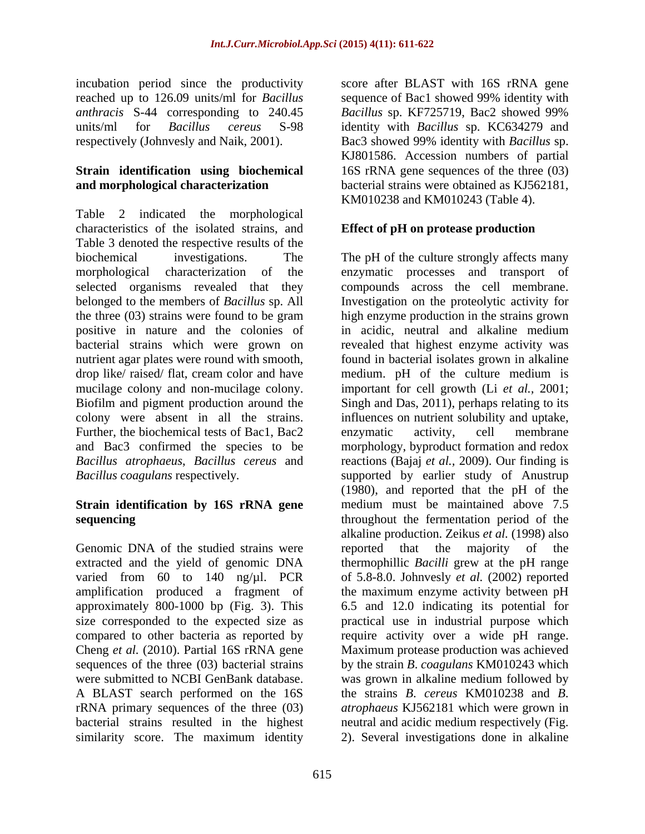incubation period since the productivity reached up to 126.09 units/ml for *Bacillus anthracis* S-44 corresponding to 240.45

# **Strain identification using biochemical**

Table 2 indicated the morphological characteristics of the isolated strains, and Table 3 denoted the respective results of the positive in nature and the colonies of in acidic, neutral and alkaline medium bacterial strains which were grown on Further, the biochemical tests of Bac1, Bac2 enzymatic activity, cell membrane

Genomic DNA of the studied strains were reported that the majority of the amplification produced a fragment of were submitted to NCBI GenBank database. Was grown in alkaline medium followed by A BLAST search performed on the 16S similarity score. The maximum identity 2). Several investigations done in alkaline

units/ml for *Bacillus cereus* S-98 identity with *Bacillus* sp. KC634279 and respectively (Johnvesly and Naik, 2001). Bac3 showed 99% identity with *Bacillus* sp. **and morphological characterization** bacterial strains were obtained as KJ562181, score after BLAST with 16S rRNA gene sequence of Bac1 showed 99% identity with *Bacillus* sp. KF725719, Bac2 showed 99% KJ801586. Accession numbers of partial 16S rRNA gene sequences of the three (03) KM010238 and KM010243 (Table 4).

### **Effect of pH on protease production**

biochemical investigations. The The pH of the culture strongly affects many morphological characterization of the enzymatic processes and transport of selected organisms revealed that they compounds across the cell membrane. belonged to the members of *Bacillus* sp. All Investigation on the proteolytic activity for the three (03) strains were found to be gram high enzyme production in the strains grown nutrient agar plates were round with smooth, found in bacterial isolates grown in alkaline drop like/ raised/ flat, cream color and have medium. pH of the culture medium is mucilage colony and non-mucilage colony. important for cell growth (Li *et al.,* 2001; Biofilm and pigment production around the Singh and Das, 2011), perhaps relating to its colony were absent in all the strains. influences on nutrient solubility and uptake, and Bac3 confirmed the species to be morphology, byproduct formation and redox *Bacillus atrophaeus*, *Bacillus cereus* and reactions (Bajaj *et al.,* 2009). Our finding is *Bacillus coagulans* respectively. Supported by earlier study of Anustrup **Strain identification by 16S rRNA gene** medium must be maintained above 7.5 **sequencing** and throughout the fermentation period of the extracted and the yield of genomic DNA thermophillic *Bacilli* grew at the pH range varied from 60 to 140 ng/µl. PCR of 5.8-8.0. Johnvesly *et al.* (2002) reported approximately 800-1000 bp (Fig. 3). This 6.5 and 12.0 indicating its potential for size corresponded to the expected size as practical use in industrial purpose which compared to other bacteria as reported by require activity over a wide pH range. Cheng *et al.* (2010). Partial 16S rRNA gene Maximum protease production was achieved sequences of the three (03) bacterial strains by the strain *B*. *coagulans* KM010243 which rRNA primary sequences of the three (03) *atrophaeus* KJ562181 which were grown in bacterial strains resulted in the highest neutral and acidic medium respectively (Fig. in acidic, neutral and alkaline medium revealed that highest enzyme activity was enzymatic activity, cell membrane (1980), and reported that the pH of the alkaline production. Zeikus *et al.* (1998) also reported that the majority of the the maximum enzyme activity between pH was grown in alkaline medium followed by the strains *B*. *cereus* KM010238 and *B*.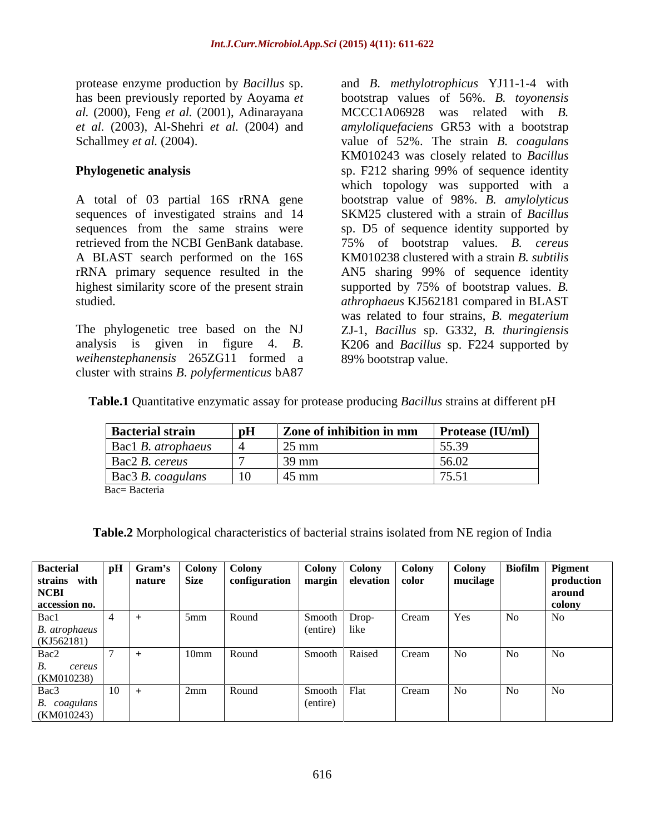protease enzyme production by *Bacillus* sp. and *B*. *methylotrophicus* YJ11-1-4 with has been previously reported by Aoyama *et al.* (2000), Feng *et al.* (2001), Adinarayana

rRNA primary sequence resulted in the

*weihenstephanensis* 265ZG11 formed a cluster with strains *B*. *polyfermenticus* bA87

*et al.* (2003), Al-Shehri *et al.* (2004) and *amyloliquefaciens* GR53 with a bootstrap Schallmey *et al.* (2004). The strain *B. coagulans* value of 52%. The strain *B. coagulans* **Phylogenetic analysis** sp. F212 sharing 99% of sequence identity A total of 03 partial 16S rRNA gene bootstrap value of 98%. *B. amylolyticus* sequences of investigated strains and 14 SKM25 clustered with a strain of *Bacillus* sequences from the same strains were sp. D5 of sequence identity supported by retrieved from the NCBI GenBank database. 75% of bootstrap values. *B. cereus* A BLAST search performed on the 16S KM010238 clustered with a strain *B. subtilis* highest similarity score of the present strain supported by 75% of bootstrap values. *B.* studied. *athrophaeus* KJ562181 compared in BLAST The phylogenetic tree based on the NJ ZJ-1, *Bacillus* sp. G332, *B. thuringiensis* analysis is given in figure 4. *B*. K206 and *Bacillus* sp. F224 supported by bootstrap values of 56%. *B. toyonensis* MCCC1A06928 was related with *B.*  KM010243 was closely related to *Bacillus* which topology was supported with a AN5 sharing 99% of sequence identity was related to four strains, *B. megaterium* 89% bootstrap value.

| Table.1 Quantita<br>$-4.1.66$<br><i>uuus</i> strains at different r |  |  |
|---------------------------------------------------------------------|--|--|
|                                                                     |  |  |

| <b>Bacterial strain</b>           | $\vert$ Zone of inhibition in mm $\vert$ Protease (IU/ml) $\vert$ |               |
|-----------------------------------|-------------------------------------------------------------------|---------------|
| $\vert$ Bac1 <i>B. atrophaeus</i> | $\sim$                                                            | 55.20         |
| $\vert$ Bac2 <i>B. cereus</i>     | $\mid$ 39 mm                                                      | 56.02         |
| Bac3 B. coagulans                 | $\frac{145}{2}$ mm                                                | $\pi \in \pi$ |
| Bac= Bacteria                     |                                                                   |               |

**Table.2** Morphological characteristics of bacterial strains isolated from NE region of India

| <b>Bacterial</b>                |            | Gram's   Colony   Colony |               | Colony   Colony            | Colony | Colony   |     | Biofilm Pigment |
|---------------------------------|------------|--------------------------|---------------|----------------------------|--------|----------|-----|-----------------|
| strains with                    |            | nature Size              | configuration | margin   elevation   color |        | mucilage |     | production      |
| <b>NCBI</b>                     |            |                          |               |                            |        |          |     | around          |
| accession no.                   |            |                          |               |                            |        |          |     | colony          |
| Bac1                            |            | $5 \text{mm}$            | Round         | Drop-<br>Smooth            | Cream  | res      | No  | . No            |
|                                 |            |                          |               | (entire) like              |        |          |     |                 |
| <i>B. atrophaeus</i> (KJ562181) |            |                          |               |                            |        |          |     |                 |
| Bac2                            |            | 10mm Round               |               | Smooth   Raised            | Cream  |          | No. | No -            |
| cereus                          |            |                          |               |                            |        |          |     |                 |
| (KM010238)                      |            |                          |               |                            |        |          |     |                 |
| Bac3                            | $\vert$ 10 | $\sqrt{2}$ mm            | Round         | Smooth Flat                | Cream  |          | No  | No.             |
|                                 |            |                          |               | (entire)                   |        |          |     |                 |
| B. coagulans<br>(KM010243)      |            |                          |               |                            |        |          |     |                 |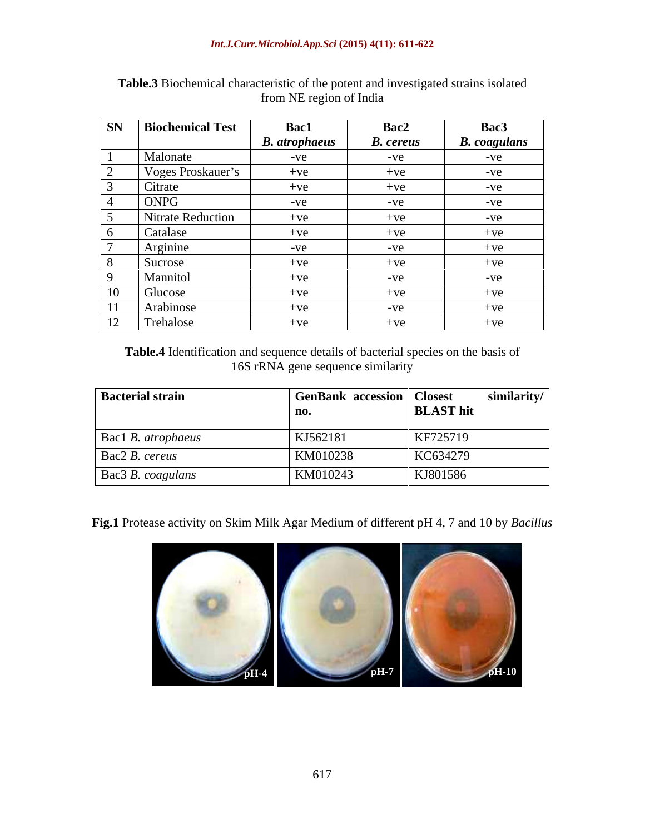| <b>SN</b>                   | <b>Biochemical Test</b> | Bac1                 | Bac2             | Bac3                |
|-----------------------------|-------------------------|----------------------|------------------|---------------------|
|                             |                         | <b>B.</b> atrophaeus | <b>B.</b> cereus | <b>B.</b> coagulans |
|                             | Malonate                | $-ve$                | $-ve$            | $-ve$               |
| $\bigcap$<br>$\overline{a}$ | Voges Proskauer's       | $+ve$                | $+ve$            | $-ve$               |
| $\overline{2}$              | Citrate                 | $+ve$                | $+ve$            | $-ve$               |
| $\overline{4}$              | ONPG                    | $-ve$                | $-ve$            | $-ve$               |
|                             | Nitrate Reduction       | $+ve$                | $+ve$            | $-ve$               |
| 6                           | Catalase                | $+ve$                | $+ve$            | $+ve$               |
| $\overline{a}$              | Arginine                | $-ve$                | $-ve$            | $+ve$               |
| 8 <sup>8</sup>              | Sucrose                 | $+ve$                | $+ve$            | $+ve$               |
| $\overline{9}$              | Mannitol                | $+ve$                | $-ve$            | $-ve$               |
| 10                          | Glucose                 | $+ve$                | $+ve$            | $+ve$               |
| 11                          | Arabinose               | $+ve$                | $-ve$            | $+ve$               |
| 12                          | Trehalose               | $+ve$                | $+ve$            | $+ve$               |

**Table.3** Biochemical characteristic of the potent and investigated strains isolated from NE region of India

**Table.4** Identification and sequence details of bacterial species on the basis of 16S rRNA gene sequence similarity

| <b>Bacterial strain</b>           | <b>GenBank accession   Closest</b> |                  | similarity/ |
|-----------------------------------|------------------------------------|------------------|-------------|
|                                   | no.                                | <b>BLAST</b> hit |             |
| $\vert$ Bac1 <i>B. atrophaeus</i> | KJ562181                           | KF725719         |             |
| $\vert$ Bac2 <i>B. cereus</i>     | KM010238                           | KC634279         |             |
| Bac3 B. coagulans                 | KM010243                           | KJ801586         |             |

**Fig.1** Protease activity on Skim Milk Agar Medium of different pH 4, 7 and 10 by *Bacillus*

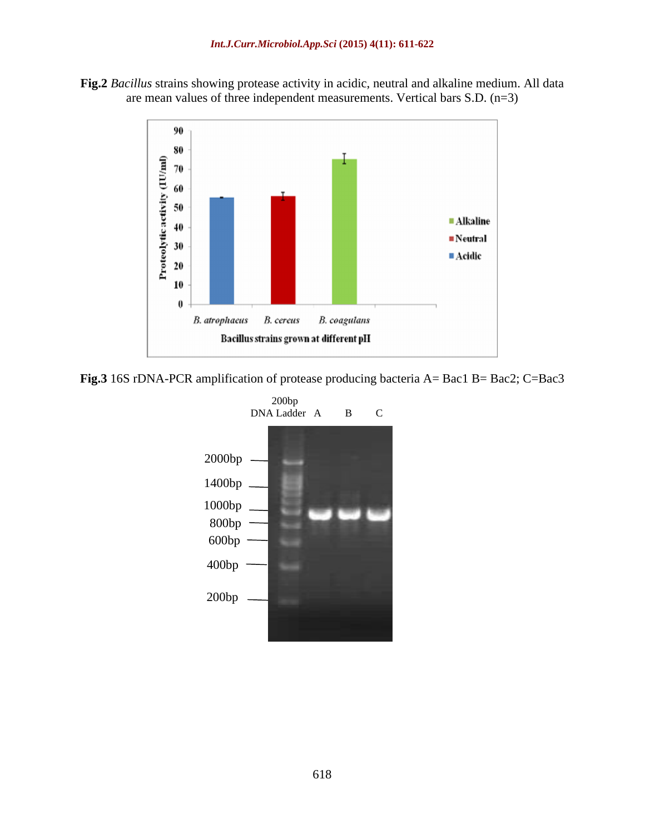**Fig.2** *Bacillus* strains showing protease activity in acidic, neutral and alkaline medium. All data are mean values of three independent measurements. Vertical bars S.D. (n=3)



**Fig.3** 16S rDNA-PCR amplification of protease producing bacteria A= Bac1 B= Bac2; C=Bac3

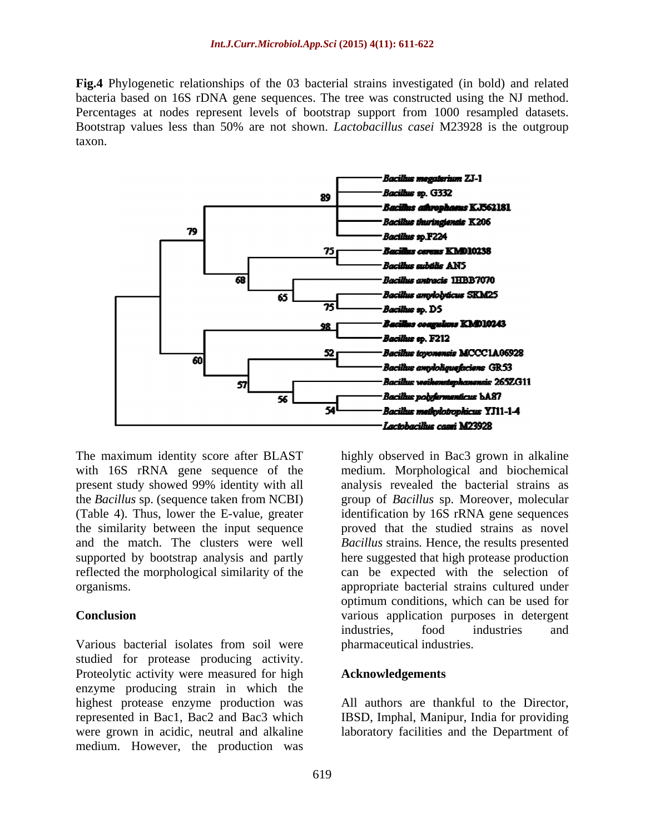**Fig.4** Phylogenetic relationships of the 03 bacterial strains investigated (in bold) and related bacteria based on 16S rDNA gene sequences. The tree was constructed using the NJ method. Percentages at nodes represent levels of bootstrap support from 1000 resampled datasets. Bootstrap values less than 50% are not shown. *Lactobacillus casei* M23928 is the outgroup taxon.



with 16S rRNA gene sequence of the the *Bacillus* sp. (sequence taken from NCBI) the similarity between the input sequence

Various bacterial isolates from soil were studied for protease producing activity. Proteolytic activity were measured for high **Acknowledgements** enzyme producing strain in which the highest protease enzyme production was represented in Bac1, Bac2 and Bac3 which IBSD, Imphal, Manipur, India for providing were grown in acidic, neutral and alkaline laboratory facilities and the Department ofmedium. However, the production was

The maximum identity score after BLAST highly observed in Bac3 grown in alkaline present study showed 99% identity with all analysis revealed the bacterial strains as (Table 4). Thus, lower the E-value, greater identification by 16S rRNA gene sequences and the match. The clusters were well *Bacillus* strains*.* Hence, the results presented supported by bootstrap analysis and partly here suggested that high protease production reflected the morphological similarity of the can be expected with the selection of organisms. appropriate bacterial strains cultured under **Conclusion** various application purposes in detergent medium. Morphological and biochemical group of *Bacillus* sp. Moreover, molecular proved that the studied strains as novel optimum conditions, which can be used for industries, food industries and pharmaceutical industries.

#### **Acknowledgements**

All authors are thankful to the Director,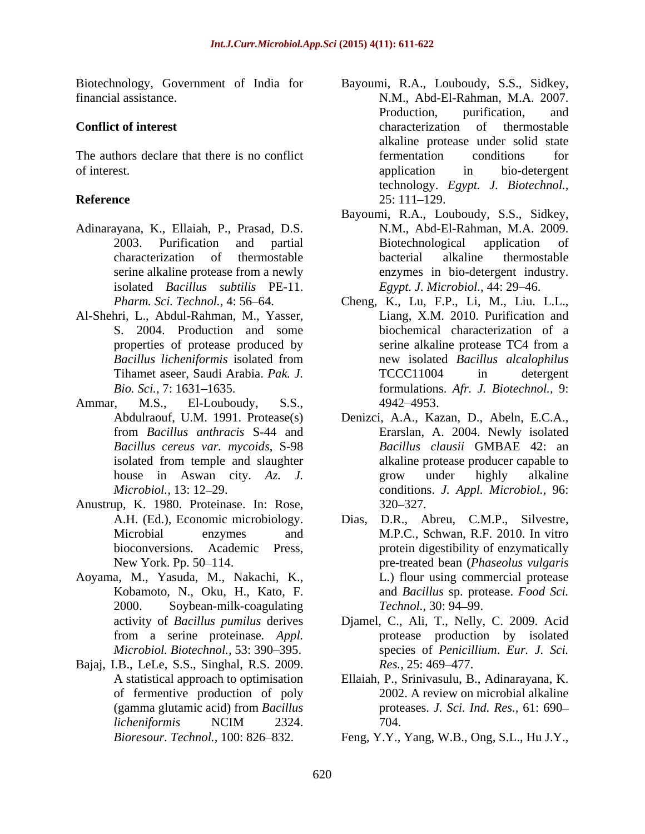The authors declare that there is no conflict fermentation conditions for of interest. The contract of interest. The contract of interest application in bio-detergent

- Adinarayana, K., Ellaiah, P., Prasad, D.S. isolated *Bacillus subtilis* PE-11.
- Al-Shehri, L., Abdul-Rahman, M., Yasser,
- Ammar, M.S., El-Louboudy, S.S., 4942–4953.
- Anustrup, K. 1980. Proteinase. In: Rose,
- Aoyama, M., Yasuda, M., Nakachi, K., 2000. Soybean-milk-coagulating Technol., 30: 94–99.
- Bajaj, I.B., LeLe, S.S., Singhal, R.S. 2009. *Res.*, 25: 469–477. of fermentive production of poly
- Biotechnology, Government of India for Bayoumi, R.A., Louboudy, S.S., Sidkey, financial assistance. N.M., Abd-El-Rahman, M.A. 2007. **Conflict of interest** characterization of thermostable **Reference** 25: 111–129. Production, purification, and characterization of thermostable alkaline protease under solid state fermentation conditions for application in bio-detergent technology. *Egypt. J. Biotechnol.,* 25: 111 129.
	- 2003. Purification and partial characterization of thermostable serine alkaline protease from a newly enzymes in bio-detergent industry. Bayoumi, R.A., Louboudy, S.S., Sidkey, N.M., Abd-El-Rahman, M.A. 2009. Biotechnological application of bacterial alkaline thermostable *Egypt. J. Microbiol., 44: 29–46.*
	- *Pharm. Sci. Technol.,* 4: 56 64. Cheng, K., Lu, F.P., Li, M., Liu. L.L., S. 2004. Production and some biochemical characterization of a properties of protease produced by serine alkaline protease TC4 from a *Bacillus licheniformis* isolated from Tihamet aseer, Saudi Arabia. *Pak. J. Bio. Sci.,* 7: 1631 1635. formulations. *Afr. J. Biotechnol.,* 9: Liang, X.M. 2010. Purification and serine alkaline protease TC4 from a new isolated *Bacillus alcalophilus* TCCC11004 in detergent 4942 4953.
	- Abdulraouf, U.M. 1991. Protease(s) Denizci, A.A., Kazan, D., Abeln, E.C.A., from *Bacillus anthracis* S-44 and Erarslan, A. 2004. Newly isolated *Bacillus cereus var. mycoids*, S-98 *Bacillus clausii* GMBAE 42: an isolated from temple and slaughter alkaline protease producer capable to house in Aswan city. *Az. J. Microbiol.,* 13: 12 29. conditions. *J. Appl. Microbiol.,* 96: alkaline protease producer capable to grow under highly alkaline 320 327.
	- A.H. (Ed.), Economic microbiology. Dias, D.R., Abreu, C.M.P., Silvestre, Microbial enzymes and M.P.C., Schwan, R.F. 2010. In vitro bioconversions. Academic Press, protein digestibility of enzymatically New York. Pp. 50–114. The same of the second pre-treated bean (*Phaseolus vulgaris* and *Phaseolus vulgaris* Kobamoto, N., Oku, H., Kato, F. and *Bacillus* sp. protease. *Food Sci.* L.) flour using commercial protease *Technol.,* 30: 94–99.
	- activity of *Bacillus pumilus* derives Djamel, C., Ali, T., Nelly, C. 2009. Acid from a serine proteinase*. Appl. Microbiol. Biotechnol.,* 53: 390 395. species of *Penicillium*. *Eur. J. Sci.* protease production by isolated *Res.*, 25: 469–477.
	- A statistical approach to optimisation Ellaiah, P., Srinivasulu, B., Adinarayana, K. (gamma glutamic acid) from *Bacillus*  proteases. *J. Sci. Ind. Res.,* 61: 690 *licheniformis* NCIM 2324. 2002. A review on microbial alkaline 704.
	- *Bioresour. Technol.,* 100: 826 832. Feng, Y.Y., Yang, W.B., Ong, S.L., Hu J.Y.,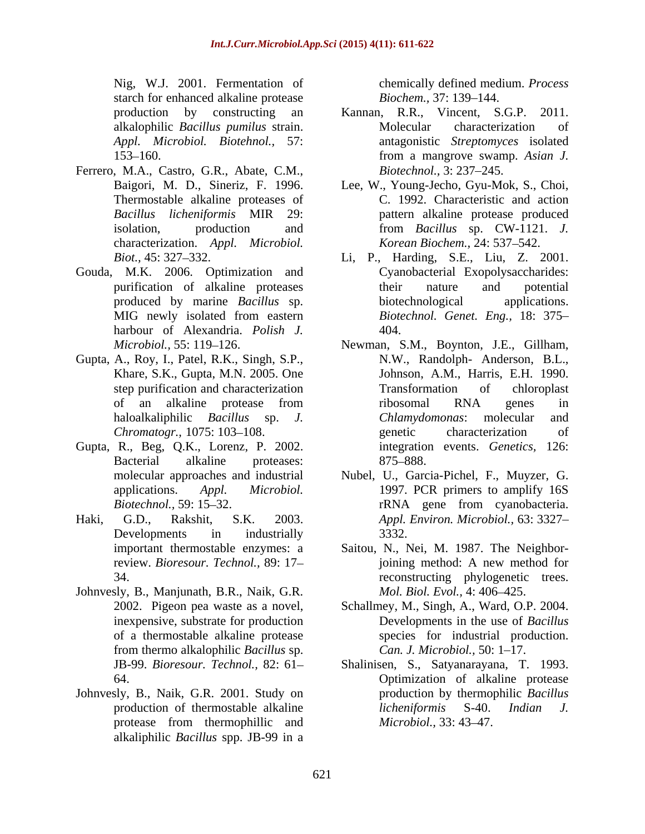Nig, W.J. 2001. Fermentation of starch for enhanced alkaline protease Biochem., 37: 139–144.

- Ferrero, M.A., Castro, G.R., Abate, C.M., Biotechnol., 3: 237–245. Thermostable alkaline proteases of characterization. *Appl. Microbiol.*
- Gouda, M.K. 2006. Optimization and harbour of Alexandria. *Polish J.*
- Gupta, A., Roy, I., Patel, R.K., Singh, S.P.,
- Gupta, R., Beg, Q.K., Lorenz, P. 2002.
- 
- Johnvesly, B., Manjunath, B.R., Naik, G.R.
- Johnvesly, B., Naik, G.R. 2001. Study on alkaliphilic *Bacillus* spp. JB-99 in a

chemically defined medium. *Process Biochem.,* 37: 139–144.

- production by constructing an Kannan, R.R., Vincent, S.G.P. 2011. alkalophilic *Bacillus pumilus* strain. *Appl. Microbiol. Biotehnol.,* 57: antagonistic *Streptomyces* isolated 153 160. from a mangrove swamp. *Asian J.* Molecular characterization of *Biotechnol.,* 3: 237–245.
- Baigori, M. D., Sineriz, F. 1996. Lee, W., Young-Jecho, Gyu-Mok, S., Choi, *Bacillus licheniformis* MIR 29: pattern alkaline protease produced isolation, production and from *Bacillus* sp. CW-1121. *J.*  C. 1992. Characteristic and action *Korean Biochem., 24: 537-542.*
- *Biot.,* 45: 327 332. Li, P., Harding, S.E., Liu, Z. 2001. purification of alkaline proteases their nature and potential produced by marine *Bacillus* sp. MIG newly isolated from eastern Biotechnol. Genet. Eng., 18: 375– Cyanobacterial Exopolysaccharides: their nature and potential biotechnological *Biotechnol. Genet. Eng.,* 18: 375 404.
- *Microbiol.*, 55: 119–126. Newman, S.M., Boynton, J.E., Gillham, Khare, S.K., Gupta, M.N. 2005. One Johnson, A.M., Harris, E.H. 1990. step purification and characterization Transformation of chloroplast of an alkaline protease from haloalkaliphilic *Bacillus* sp. *J. Chromatogr.,* 1075: 103–108. genetic characterization of Bacterial alkaline proteases: 875–888. N.W., Randolph- Anderson, B.L., Transformation of chloroplast ribosomal RNA genes in *Chlamydomonas*: molecular and genetic characterization of integration events. *Genetics,* 126: 875–888.
- molecular approaches and industrial Nubel, U., Garcia-Pichel, F., Muyzer, G. applications. *Appl. Microbiol.* 1997. PCR primers to amplify 16S *Biotechnol.*, 59: 15–32. rRNA gene from cyanobacteria. Haki, G.D., Rakshit, S.K. 2003. *Appl. Environ. Microbiol.,* 63: 3327 Developments in industrially 3332. rRNA gene from cyanobacteria. 3332.
	- important thermostable enzymes: a Saitou, N., Nei, M. 1987. The Neighborreview. *Bioresour. Technol.,* 89: 17 34. reconstructing phylogenetic trees. joining method: A new method for *Mol. Biol. Evol., 4: 406-425.*
	- 2002. Pigeon pea waste as a novel, Schallmey, M., Singh, A., Ward, O.P. 2004. inexpensive, substrate for production Developments in the use of *Bacillus* of a thermostable alkaline protease species for industrial production. from thermo alkalophilic *Bacillus* sp. *Can. J. Microbiol.,* 50: 1-17.
	- JB-99. *Bioresour. Technol.,* 82: 61 Shalinisen, S., Satyanarayana, T. 1993. 64. Optimization of alkaline protease production of thermostable alkaline *licheniformis* S-40. *Indian J.* protease from thermophillic and *Microbiol.*, 33: 43–47. production by thermophilic *Bacillus licheniformis* S-40. *Indian J. Microbiol.,* 33: 43–47.